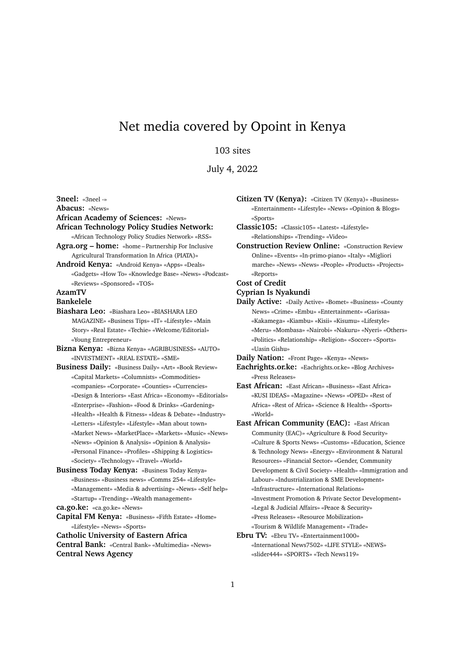# Net media covered by Opoint in Kenya

# 103 sites

July 4, 2022

**3neel:** «3neel -» **Abacus:** «News» **African Academy of Sciences:** «News» **African Technology Policy Studies Network:** «African Technology Policy Studies Network» «RSS» **Agra.org – home:** «home – Partnership For Inclusive Agricultural Transformation In Africa (PIATA)» **Android Kenya:** «Android Kenya» «Apps» «Deals» «Gadgets» «How To» «Knowledge Base» «News» «Podcast» «Reviews» «Sponsored» «TOS» **AzamTV Bankelele Biashara Leo:** «Biashara Leo» «BIASHARA LEO MAGAZINE» «Business Tips» «IT» «Lifestyle» «Main Story» «Real Estate» «Techie» «Welcome/Editorial» «Young Entrepreneur» **Bizna Kenya:** «Bizna Kenya» «AGRIBUSINESS» «AUTO» «INVESTMENT» «REAL ESTATE» «SME» **Business Daily:** «Business Daily» «Art» «Book Review» «Capital Markets» «Columnists» «Commodities» «companies» «Corporate» «Counties» «Currencies» «Design & Interiors» «East Africa» «Economy» «Editorials» «Enterprise» «Fashion» «Food & Drinks» «Gardening» «Health» «Health & Fitness» «Ideas & Debate» «Industry» «Letters» «Lifestyle» «Lifestyle» «Man about town» «Market News» «MarketPlace» «Markets» «Music» «News» «News» «Opinion & Analysis» «Opinion & Analysis» «Personal Finance» «Profiles» «Shipping & Logistics» «Society» «Technology» «Travel» «World» **Business Today Kenya:** «Business Today Kenya» «Business» «Business news» «Comms 254» «Lifestyle» «Management» «Media & advertising» «News» «Self help» «Startup» «Trending» «Wealth management» **ca.go.ke:** «ca.go.ke» «News»

**Capital FM Kenya:** «Business» «Fifth Estate» «Home» «Lifestyle» «News» «Sports»

**Catholic University of Eastern Africa**

**Central Bank:** «Central Bank» «Multimedia» «News» **Central News Agency**

**Citizen TV (Kenya):** «Citizen TV (Kenya)» «Business» «Entertainment» «Lifestyle» «News» «Opinion & Blogs» «Sports»

**Classic105:** «Classic105» «Latest» «Lifestyle» «Relationships» «Trending» «Video»

**Construction Review Online:** «Construction Review Online» «Events» «In-primo-piano» «Italy» «Migliori marche» «News» «News» «People» «Products» «Projects» «Reports»

#### **Cost of Credit**

#### **Cyprian Is Nyakundi**

**Daily Active:** «Daily Active» «Bomet» «Business» «County News» «Crime» «Embu» «Entertainment» «Garissa» «Kakamega» «Kiambu» «Kisii» «Kisumu» «Lifestyle» «Meru» «Mombasa» «Nairobi» «Nakuru» «Nyeri» «Others» «Politics» «Relationship» «Religion» «Soccer» «Sports» «Uasin Gishu»

**Daily Nation:** «Front Page» «Kenya» «News»

- **Eachrights.or.ke:** «Eachrights.or.ke» «Blog Archives» «Press Releases»
- **East African:** «East African» «Business» «East Africa» «KUSI IDEAS» «Magazine» «News» «OPED» «Rest of Africa» «Rest of Africa» «Science & Health» «Sports» «World»
- **East African Community (EAC):** «East African Community (EAC)» «Agriculture & Food Security» «Culture & Sports News» «Customs» «Education, Science & Technology News» «Energy» «Environment & Natural Resources» «Financial Sector» «Gender, Community Development & Civil Society» «Health» «Immigration and Labour» «Industrialization & SME Development» «Infrastructure» «International Relations» «Investment Promotion & Private Sector Development» «Legal & Judicial Affairs» «Peace & Security» «Press Releases» «Resource Mobilization» «Tourism & Wildlife Management» «Trade»
- **Ebru TV:** «Ebru TV» «Entertainment1000» «International News7502» «LIFE STYLE» «NEWS» «slider444» «SPORTS» «Tech News119»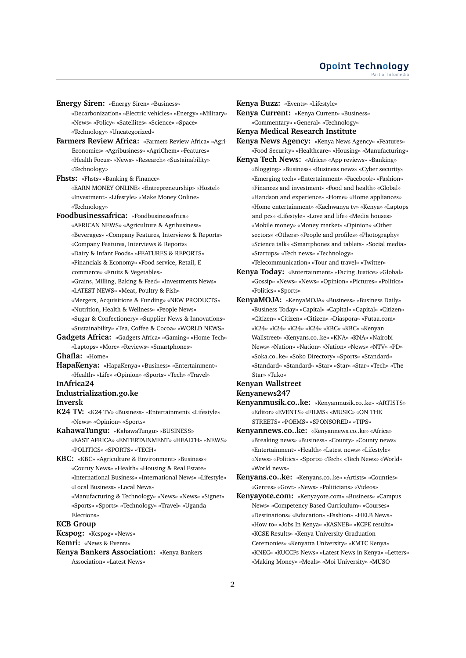## **Opoint Technology** Part of Infomer

**Energy Siren:** «Energy Siren» «Business»

- «Decarbonization» «Electric vehicles» «Energy» «Military» «News» «Policy» «Satellites» «Science» «Space» «Technology» «Uncategorized»
- **Farmers Review Africa:** «Farmers Review Africa» «Agri-Economics» «Agribusiness» «AgriChem» «Features» «Health Focus» «News» «Research» «Sustainability» «Technology»
- **Fhsts:** «Fhsts» «Banking & Finance» «EARN MONEY ONLINE» «Entrepreneurship» «Hostel» «Investment» «Lifestyle» «Make Money Online» «Technology»
- **Foodbusinessafrica:** «Foodbusinessafrica»
	- «AFRICAN NEWS» «Agriculture & Agribusiness» «Beverages» «Company Features, Interviews & Reports» «Company Features, Interviews & Reports»
	- «Dairy & Infant Foods» «FEATURES & REPORTS»
	- «Financials & Economy» «Food service, Retail, E-
	- commerce» «Fruits & Vegetables»
	- «Grains, Milling, Baking & Feed» «Investments News»
	- «LATEST NEWS» «Meat, Poultry & Fish»
	- «Mergers, Acquisitions & Funding» «NEW PRODUCTS»
	- «Nutrition, Health & Wellness» «People News»
	- «Sugar & Confectionery» «Supplier News & Innovations» «Sustainability» «Tea, Coffee & Cocoa» «WORLD NEWS»
- **Gadgets Africa:** «Gadgets Africa» «Gaming» «Home Tech» «Laptops» «More» «Reviews» «Smartphones»

**Ghafla:** «Home»

**HapaKenya:** «HapaKenya» «Business» «Entertainment» «Health» «Life» «Opinion» «Sports» «Tech» «Travel»

## **InAfrica24 Industrialization.go.ke**

# **Inversk**

- **K24 TV:** «K24 TV» «Business» «Entertainment» «Lifestyle» «News» «Opinion» «Sports»
- **KahawaTungu:** «KahawaTungu» «BUSINESS» «EAST AFRICA» «ENTERTAINMENT» «HEALTH» «NEWS» «POLITICS» «SPORTS» «TECH»
- **KBC:** «KBC» «Agriculture & Environment» «Business» «County News» «Health» «Housing & Real Estate» «International Business» «International News» «Lifestyle» «Local Business» «Local News»
	- «Manufacturing & Technology» «News» «News» «Signet» «Sports» «Sports» «Technology» «Travel» «Uganda Elections»

## **KCB Group**

**Kcspog:** «Kcspog» «News»

**Kemri:** «News & Events»

**Kenya Bankers Association:** «Kenya Bankers Association» «Latest News»

**Kenya Buzz:** «Events» «Lifestyle»

**Kenya Current:** «Kenya Current» «Business» «Commentary» «General» «Technology»

## **Kenya Medical Research Institute**

- **Kenya News Agency:** «Kenya News Agency» «Features» «Food Security» «Healthcare» «Housing» «Manufacturing»
- **Kenya Tech News:** «Africa» «App reviews» «Banking» «Blogging» «Business» «Business news» «Cyber security» «Emerging tech» «Entertainment» «Facebook» «Fashion» «Finances and investment» «Food and health» «Global» «Handson and experience» «Home» «Home appliances» «Home entertainment» «Kachwanya tv» «Kenya» «Laptops and pcs» «Lifestyle» «Love and life» «Media houses» «Mobile money» «Money market» «Opinion» «Other sectors» «Others» «People and profiles» «Photography» «Science talk» «Smartphones and tablets» «Social media» «Startups» «Tech news» «Technology»

«Telecommunication» «Tour and travel» «Twitter»

- **Kenya Today:** «Entertainment» «Facing Justice» «Global» «Gossip» «News» «News» «Opinion» «Pictures» «Politics» «Politics» «Sports»
- **KenyaMOJA:** «KenyaMOJA» «Business» «Business Daily» «Business Today» «Capital» «Capital» «Capital» «Citizen» «Citizen» «Citizen» «Citizen» «Diaspora» «Futaa.com» «K24» «K24» «K24» «K24» «KBC» «KBC» «Kenyan Wallstreet» «Kenyans.co..ke» «KNA» «KNA» «Nairobi News» «Nation» «Nation» «Nation» «News» «NTV» «PD» «Soka.co..ke» «Soko Directory» «Sports» «Standard» «Standard» «Standard» «Star» «Star» «Star» «Tech» «The Star» «Tuko»

# **Kenyan Wallstreet**

# **Kenyanews247**

- **Kenyanmusik.co..ke:** «Kenyanmusik.co..ke» «ARTISTS» «Editor» «EVENTS» «FILMS» «MUSIC» «ON THE STREETS» «POEMS» «SPONSORED» «TIPS»
- **Kenyannews.co..ke:** «Kenyannews.co..ke» «Africa» «Breaking news» «Business» «County» «County news» «Entertainment» «Health» «Latest news» «Lifestyle» «News» «Politics» «Sports» «Tech» «Tech News» «World» «World news»
- **Kenyans.co..ke:** «Kenyans.co..ke» «Artists» «Counties» «Genres» «Govt» «News» «Politicians» «Videos»
- **Kenyayote.com:** «Kenyayote.com» «Business» «Campus News» «Competency Based Curriculum» «Courses» «Destinations» «Education» «Fashion» «HELB News» «How to» «Jobs In Kenya» «KASNEB» «KCPE results» «KCSE Results» «Kenya University Graduation Ceremonies» «Kenyatta University» «KMTC Kenya» «KNEC» «KUCCPs News» «Latest News in Kenya» «Letters» «Making Money» «Meals» «Moi University» «MUSO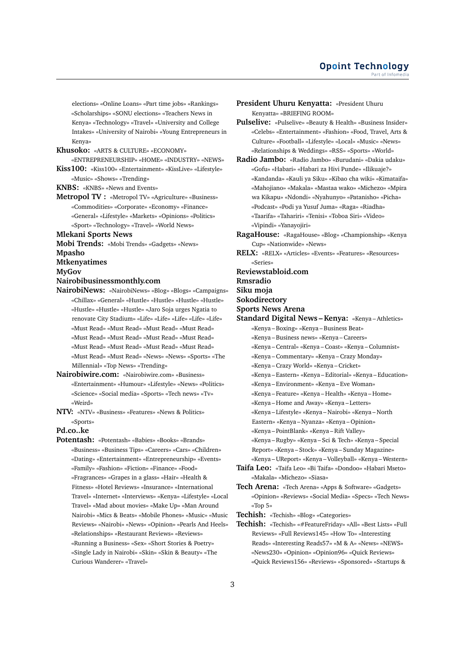elections» «Online Loans» «Part time jobs» «Rankings» «Scholarships» «SONU elections» «Teachers News in Kenya» «Technology» «Travel» «University and College Intakes» «University of Nairobi» «Young Entrepreneurs in Kenya»

**Khusoko:** «ARTS & CULTURE» «ECONOMY»

«ENTREPRENEURSHIP» «HOME» «INDUSTRY» «NEWS»

**Kiss100:** «Kiss100» «Entertainment» «KissLive» «Lifestyle» «Music» «Shows» «Trending»

**KNBS:** «KNBS» «News and Events»

**Metropol TV :** «Metropol TV» «Agriculture» «Business» «Commodities» «Corporate» «Economy» «Finance» «General» «Lifestyle» «Markets» «Opinions» «Politics» «Sport» «Technology» «Travel» «World News»

**Mlekani Sports News**

**Mobi Trends:** «Mobi Trends» «Gadgets» «News»

# **Mpasho**

**Mtkenyatimes**

**MyGov**

## **Nairobibusinessmonthly.com**

- **NairobiNews:** «NairobiNews» «Blog» «Blogs» «Campaigns» «Chillax» «General» «Hustle» «Hustle» «Hustle» «Hustle» «Hustle» «Hustle» «Hustle» «Jaro Soja urges Ngatia to renovate City Stadium» «Life» «Life» «Life» «Life» «Life» «Must Read» «Must Read» «Must Read» «Must Read» «Must Read» «Must Read» «Must Read» «Must Read» «Must Read» «Must Read» «Must Read» «Must Read» «Must Read» «Must Read» «News» «News» «Sports» «The Millennial» «Top News» «Trending»
- **Nairobiwire.com:** «Nairobiwire.com» «Business» «Entertainment» «Humour» «Lifestyle» «News» «Politics» «Science» «Social media» «Sports» «Tech news» «Tv» «Weird»
- **NTV:** «NTV» «Business» «Features» «News & Politics» «Sports»

#### **Pd.co..ke**

**Potentash:** «Potentash» «Babies» «Books» «Brands» «Business» «Business Tips» «Careers» «Cars» «Children» «Dating» «Entertainment» «Entrepreneurship» «Events» «Family» «Fashion» «Fiction» «Finance» «Food» «Fragrances» «Grapes in a glass» «Hair» «Health & Fitness» «Hotel Reviews» «Insurance» «International Travel» «Internet» «Interviews» «Kenya» «Lifestyle» «Local Travel» «Mad about movies» «Make Up» «Man Around Nairobi» «Mics & Beats» «Mobile Phones» «Music» «Music Reviews» «Nairobi» «News» «Opinion» «Pearls And Heels» «Relationships» «Restaurant Reviews» «Reviews» «Running a Business» «Sex» «Short Stories & Poetry» «Single Lady in Nairobi» «Skin» «Skin & Beauty» «The Curious Wanderer» «Travel»

- **President Uhuru Kenyatta:** «President Uhuru Kenyatta» «BRIEFING ROOM»
- **Pulselive:** «Pulselive» «Beauty & Health» «Business Insider» «Celebs» «Entertainment» «Fashion» «Food, Travel, Arts & Culture» «Football» «Lifestyle» «Local» «Music» «News» «Relationships & Weddings» «RSS» «Sports» «World»
- **Radio Jambo:** «Radio Jambo» «Burudani» «Dakia udaku» «Gofu» «Habari» «Habari za Hivi Punde» «Ilikuaje?» «Kandanda» «Kauli ya Siku» «Kibao cha wiki» «Kimataifa» «Mahojiano» «Makala» «Mastaa wako» «Michezo» «Mpira wa Kikapu» «Ndondi» «Nyahunyo» «Patanisho» «Picha» «Podcast» «Podi ya Yusuf Juma» «Raga» «Riadha» «Taarifa» «Tahariri» «Tenisi» «Toboa Siri» «Video» «Vipindi» «Yanayojiri»
- **RagaHouse:** «RagaHouse» «Blog» «Championship» «Kenya Cup» «Nationwide» «News»
- **RELX:** «RELX» «Articles» «Events» «Features» «Resources» «Series»
- **Reviewstabloid.com**

**Rmsradio**

- **Siku moja**
- **Sokodirectory**
- **Sports News Arena**
- **Standard Digital News Kenya:** «Kenya Athletics»
	- «Kenya Boxing» «Kenya Business Beat»
	- «Kenya Business news» «Kenya Careers»
	- «Kenya Central» «Kenya Coast» «Kenya Columnist»
	- «Kenya Commentary» «Kenya Crazy Monday»
	- «Kenya Crazy World» «Kenya Cricket»
	- «Kenya Eastern» «Kenya Editorial» «Kenya Education»
	- «Kenya Environment» «Kenya Eve Woman»
	- «Kenya Feature» «Kenya Health» «Kenya Home»
	- «Kenya Home and Away» «Kenya Letters»
	- «Kenya Lifestyle» «Kenya Nairobi» «Kenya North
	- Eastern» «Kenya Nyanza» «Kenya Opinion»
	- «Kenya PointBlank» «Kenya Rift Valley»
	- «Kenya Rugby» «Kenya Sci & Tech» «Kenya Special
	- Report» «Kenya Stock» «Kenya Sunday Magazine»
	- «Kenya UReport» «Kenya Volleyball» «Kenya Western»
- **Taifa Leo:** «Taifa Leo» «Bi Taifa» «Dondoo» «Habari Mseto» «Makala» «Michezo» «Siasa»
- **Tech Arena:** «Tech Arena» «Apps & Software» «Gadgets» «Opinion» «Reviews» «Social Media» «Specs» «Tech News» «Top 5»

**Techish:** «Techish» «Blog» «Categories»

**Techish:** «Techish» «#FeatureFriday» «All» «Best Lists» «Full Reviews» «Full Reviews145» «How To» «Interesting Reads» «Interesting Reads57» «M & A» «News» «NEWS» «News230» «Opinion» «Opinion96» «Quick Reviews» «Quick Reviews156» «Reviews» «Sponsored» «Startups &